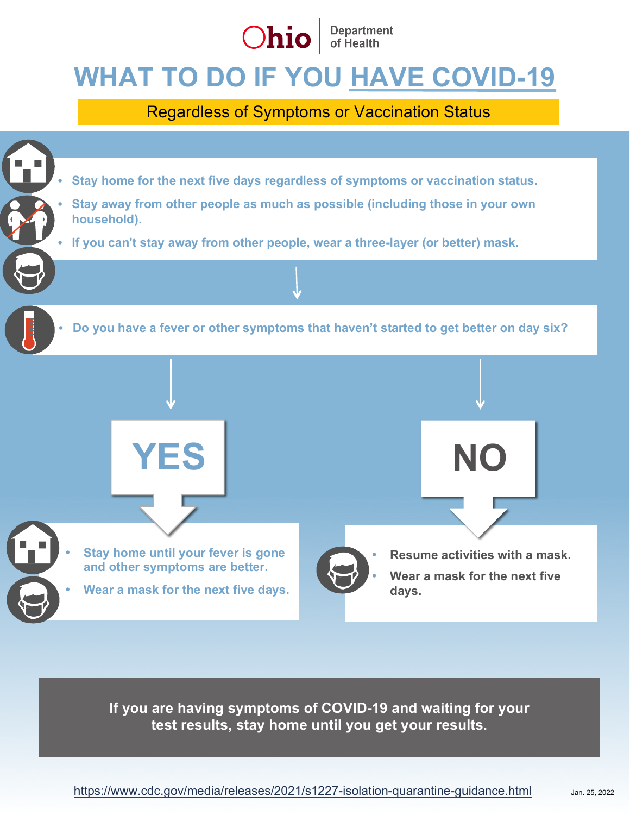

## **WHAT TO DO IF YOU HAVE COVID-19**

Regardless of Symptoms or Vaccination Status



**If you are having symptoms of COVID-19 and waiting for your test results, stay home until you get your results.**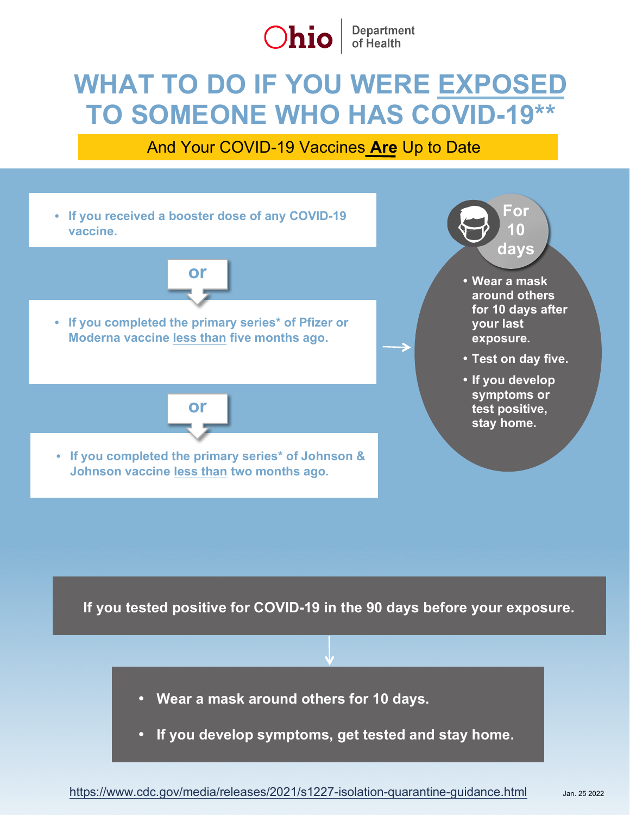

## **WHAT TO DO IF YOU WERE EXPOSED TO SOMEONE WHO HAS COVID-19\*\***

And Your COVID-19 Vaccines **Are** Up to Date